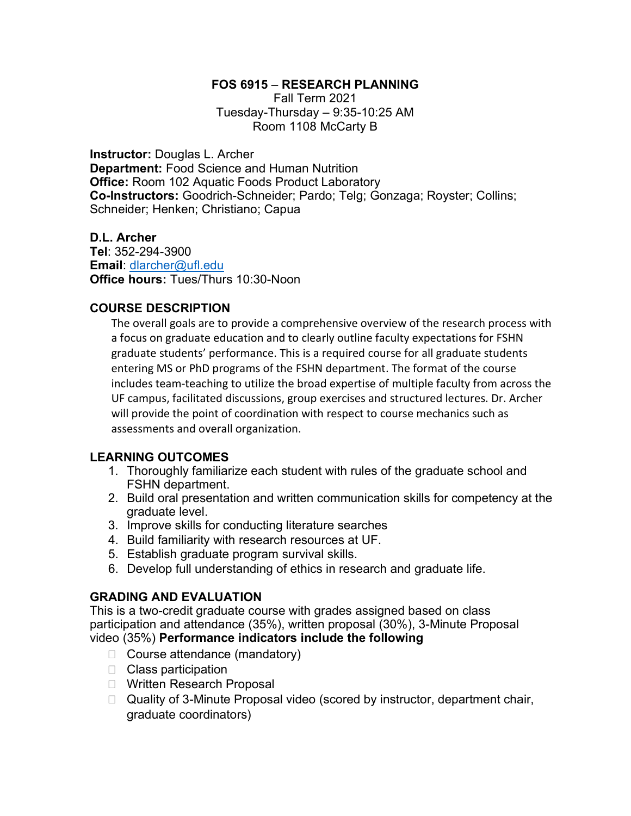### FOS 6915 – RESEARCH PLANNING

Fall Term 2021 Tuesday-Thursday – 9:35-10:25 AM Room 1108 McCarty B

Instructor: Douglas L. Archer Department: Food Science and Human Nutrition **Office: Room 102 Aquatic Foods Product Laboratory** Co-Instructors: Goodrich-Schneider; Pardo; Telg; Gonzaga; Royster; Collins; Schneider; Henken; Christiano; Capua

D.L. Archer Tel: 352-294-3900 Email: dlarcher@ufl.edu Office hours: Tues/Thurs 10:30-Noon

## COURSE DESCRIPTION

The overall goals are to provide a comprehensive overview of the research process with a focus on graduate education and to clearly outline faculty expectations for FSHN graduate students' performance. This is a required course for all graduate students entering MS or PhD programs of the FSHN department. The format of the course includes team-teaching to utilize the broad expertise of multiple faculty from across the UF campus, facilitated discussions, group exercises and structured lectures. Dr. Archer will provide the point of coordination with respect to course mechanics such as assessments and overall organization.

## LEARNING OUTCOMES

- 1. Thoroughly familiarize each student with rules of the graduate school and FSHN department.
- 2. Build oral presentation and written communication skills for competency at the graduate level.
- 3. Improve skills for conducting literature searches
- 4. Build familiarity with research resources at UF.
- 5. Establish graduate program survival skills.
- 6. Develop full understanding of ethics in research and graduate life.

# GRADING AND EVALUATION

This is a two-credit graduate course with grades assigned based on class participation and attendance (35%), written proposal (30%), 3-Minute Proposal video (35%) Performance indicators include the following

- □ Course attendance (mandatory)
- □ Class participation
- □ Written Research Proposal
- □ Quality of 3-Minute Proposal video (scored by instructor, department chair, graduate coordinators)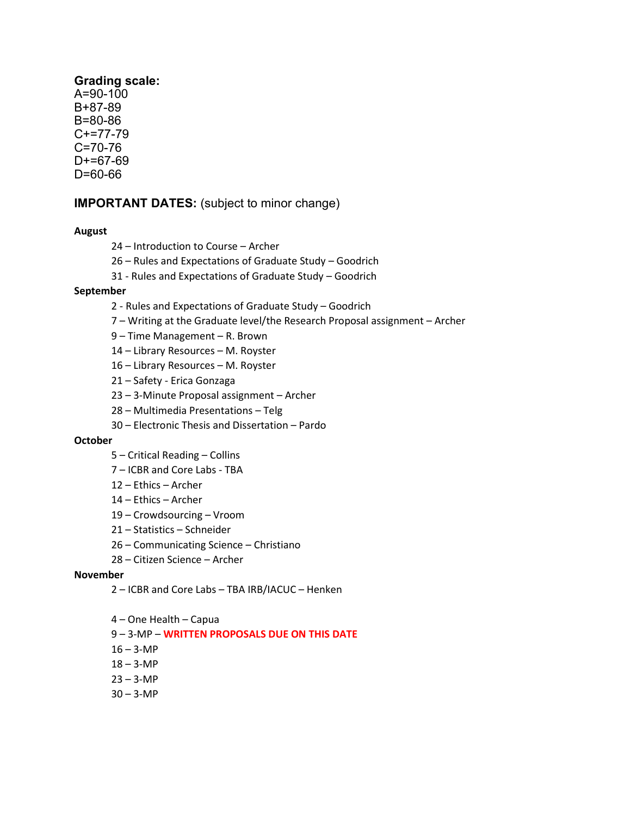## Grading scale:

A=90-100 B+87-89 B=80-86 C+=77-79 C=70-76  $D+=67-69$ D=60-66

## IMPORTANT DATES: (subject to minor change)

#### August

- 24 Introduction to Course Archer
- 26 Rules and Expectations of Graduate Study Goodrich
- 31 Rules and Expectations of Graduate Study Goodrich

#### September

- 2 Rules and Expectations of Graduate Study Goodrich
- 7 Writing at the Graduate level/the Research Proposal assignment Archer
- 9 Time Management R. Brown
- 14 Library Resources M. Royster
- 16 Library Resources M. Royster
- 21 Safety Erica Gonzaga
- 23 3-Minute Proposal assignment Archer
- 28 Multimedia Presentations Telg
- 30 Electronic Thesis and Dissertation Pardo

#### October

- 5 Critical Reading Collins
- 7 ICBR and Core Labs TBA
- 12 Ethics Archer
- 14 Ethics Archer
- 19 Crowdsourcing Vroom
- 21 Statistics Schneider
- 26 Communicating Science Christiano
- 28 Citizen Science Archer

#### November

- 2 ICBR and Core Labs TBA IRB/IACUC Henken
- 4 One Health Capua
- 9 3-MP WRITTEN PROPOSALS DUE ON THIS DATE
- $16 3 MP$
- $18 3 MP$
- $23 3 MP$
- $30 3 MP$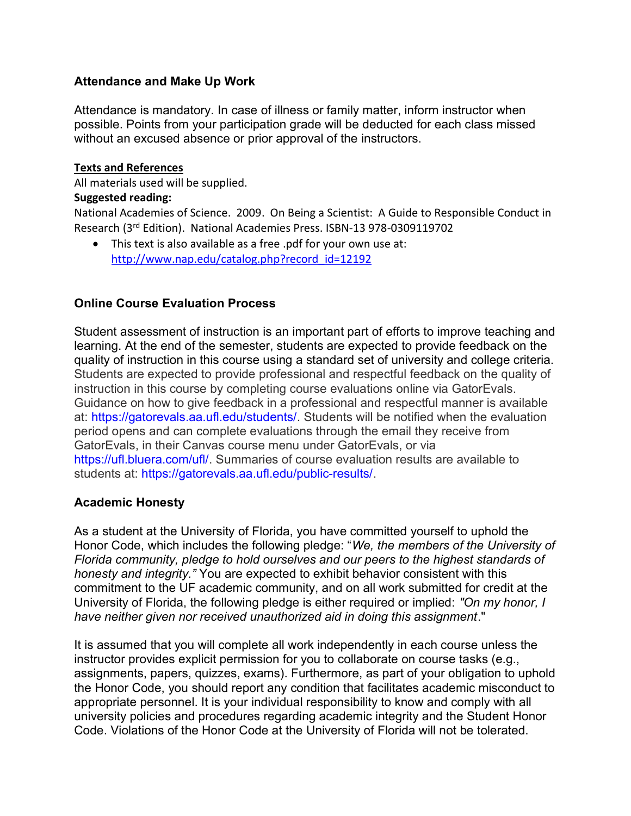## Attendance and Make Up Work

Attendance is mandatory. In case of illness or family matter, inform instructor when possible. Points from your participation grade will be deducted for each class missed without an excused absence or prior approval of the instructors.

### Texts and References

All materials used will be supplied.

### Suggested reading:

National Academies of Science. 2009. On Being a Scientist: A Guide to Responsible Conduct in Research (3rd Edition). National Academies Press. ISBN-13 978-0309119702

 This text is also available as a free .pdf for your own use at: http://www.nap.edu/catalog.php?record\_id=12192

## Online Course Evaluation Process

Student assessment of instruction is an important part of efforts to improve teaching and learning. At the end of the semester, students are expected to provide feedback on the quality of instruction in this course using a standard set of university and college criteria. Students are expected to provide professional and respectful feedback on the quality of instruction in this course by completing course evaluations online via GatorEvals. Guidance on how to give feedback in a professional and respectful manner is available at: https://gatorevals.aa.ufl.edu/students/. Students will be notified when the evaluation period opens and can complete evaluations through the email they receive from GatorEvals, in their Canvas course menu under GatorEvals, or via https://ufl.bluera.com/ufl/. Summaries of course evaluation results are available to students at: https://gatorevals.aa.ufl.edu/public-results/.

## Academic Honesty

As a student at the University of Florida, you have committed yourself to uphold the Honor Code, which includes the following pledge: "We, the members of the University of Florida community, pledge to hold ourselves and our peers to the highest standards of honesty and integrity." You are expected to exhibit behavior consistent with this commitment to the UF academic community, and on all work submitted for credit at the University of Florida, the following pledge is either required or implied: "On my honor, I have neither given nor received unauthorized aid in doing this assignment."

It is assumed that you will complete all work independently in each course unless the instructor provides explicit permission for you to collaborate on course tasks (e.g., assignments, papers, quizzes, exams). Furthermore, as part of your obligation to uphold the Honor Code, you should report any condition that facilitates academic misconduct to appropriate personnel. It is your individual responsibility to know and comply with all university policies and procedures regarding academic integrity and the Student Honor Code. Violations of the Honor Code at the University of Florida will not be tolerated.